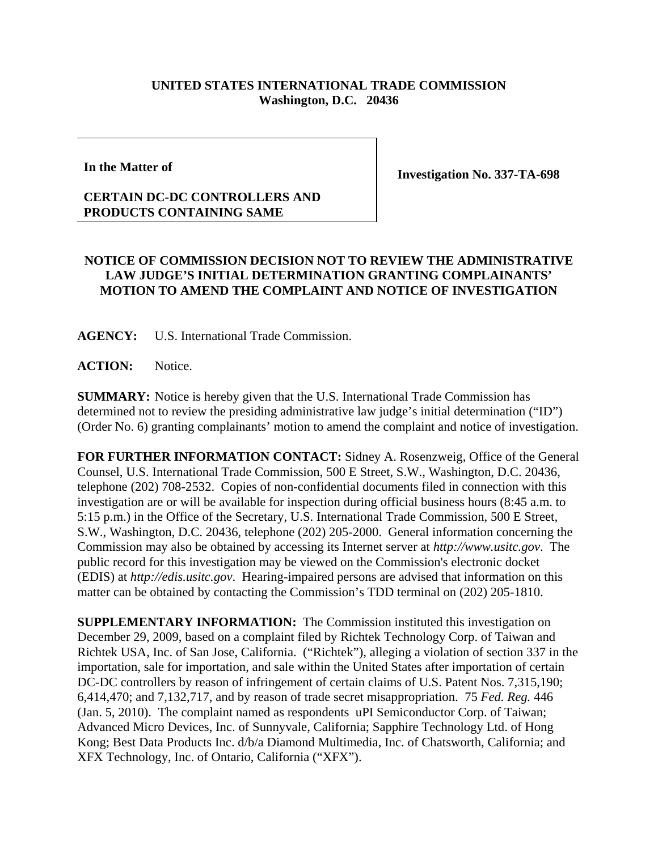## **UNITED STATES INTERNATIONAL TRADE COMMISSION Washington, D.C. 20436**

**In the Matter of**

**Investigation No. 337-TA-698**

## **CERTAIN DC-DC CONTROLLERS AND PRODUCTS CONTAINING SAME**

## **NOTICE OF COMMISSION DECISION NOT TO REVIEW THE ADMINISTRATIVE LAW JUDGE'S INITIAL DETERMINATION GRANTING COMPLAINANTS' MOTION TO AMEND THE COMPLAINT AND NOTICE OF INVESTIGATION**

**AGENCY:** U.S. International Trade Commission.

**ACTION:** Notice.

**SUMMARY:** Notice is hereby given that the U.S. International Trade Commission has determined not to review the presiding administrative law judge's initial determination ("ID") (Order No. 6) granting complainants' motion to amend the complaint and notice of investigation.

**FOR FURTHER INFORMATION CONTACT:** Sidney A. Rosenzweig, Office of the General Counsel, U.S. International Trade Commission, 500 E Street, S.W., Washington, D.C. 20436, telephone (202) 708-2532. Copies of non-confidential documents filed in connection with this investigation are or will be available for inspection during official business hours (8:45 a.m. to 5:15 p.m.) in the Office of the Secretary, U.S. International Trade Commission, 500 E Street, S.W., Washington, D.C. 20436, telephone (202) 205-2000. General information concerning the Commission may also be obtained by accessing its Internet server at *http://www.usitc.gov*. The public record for this investigation may be viewed on the Commission's electronic docket (EDIS) at *http://edis.usitc.gov*. Hearing-impaired persons are advised that information on this matter can be obtained by contacting the Commission's TDD terminal on (202) 205-1810.

**SUPPLEMENTARY INFORMATION:** The Commission instituted this investigation on December 29, 2009, based on a complaint filed by Richtek Technology Corp. of Taiwan and Richtek USA, Inc. of San Jose, California. ("Richtek"), alleging a violation of section 337 in the importation, sale for importation, and sale within the United States after importation of certain DC-DC controllers by reason of infringement of certain claims of U.S. Patent Nos. 7,315,190; 6,414,470; and 7,132,717, and by reason of trade secret misappropriation. 75 *Fed. Reg.* 446 (Jan. 5, 2010). The complaint named as respondents uPI Semiconductor Corp. of Taiwan; Advanced Micro Devices, Inc. of Sunnyvale, California; Sapphire Technology Ltd. of Hong Kong; Best Data Products Inc. d/b/a Diamond Multimedia, Inc. of Chatsworth, California; and XFX Technology, Inc. of Ontario, California ("XFX").